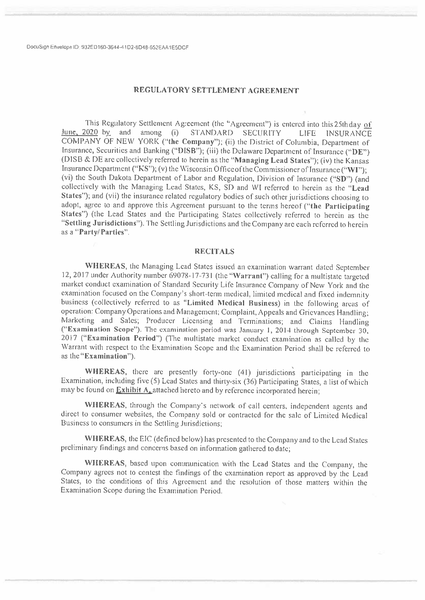### REGULATORY SETTLEMENT AGREEMENT

This Regulatory Settlement Agreement (the "Agreement") is entered into this 25th day of June,  $2020$  by and among (i) STANDARD SECURITY LIFE. **INSURANCE** COMPANY OF NEW YORK ("the Company"); (ii) the District of Columbia, Department of Insurance, Securities and Banking ("DISB"); (iii) the Delaware Department of Insurance ("DE") (DISB & DE are collectively referred to herein as the "Managing Lead States"); (iv) the Kansas Insurance Department ("KS"); (v) the Wisconsin Office of the Commissioner of Insurance ("WI"): (vi) the South Dakota Department of Labor and Regulation, Division of Insurance ("SD") (and collectively with the Managing Lead States, KS, SD and WI referred to herein as the "Lead States"); and (vii) the insurance related regulatory bodies of such other jurisdictions choosing to adopt, agree to and approve this Agreement pursuant to the terms hereof ("the Participating States") (the Lead States and the Participating States collectively referred to herein as the "Settling Jurisdictions"). The Settling Jurisdictions and the Company are each referred to herein as a "Party/Parties".

#### **RECITALS**

WHEREAS, the Managing Lead States issued an examination warrant dated September 12, 2017 under Authority number 69078-17-731 (the "Warrant") calling for a multistate targeted market conduct examination of Standard Security Life Insurance Company of New York and the examination focused on the Company's short-term medical, limited medical and fixed indemnity business (collectively referred to as "Limited Medical Business) in the following areas of operation: Company Operations and Management; Complaint, Appeals and Grievances Handling; Marketing and Sales; Producer Licensing and Terminations; and Claims Handling ("Examination Scope"). The examination period was January 1, 2014 through September 30, 2017 ("Examination Period") (The multistate market conduct examination as called by the Warrant with respect to the Examination Scope and the Examination Period shall be referred to as the "Examination").

WHEREAS, there are presently forty-one (41) jurisdictions participating in the Examination, including five (5) Lead States and thirty-six (36) Participating States, a list of which may be found on **Exhibit A** attached hereto and by reference incorporated herein;

WHEREAS, through the Company's network of call centers, independent agents and direct to consumer websites, the Company sold or contracted for the sale of Limited Medical Business to consumers in the Settling Jurisdictions;

WHEREAS, the EIC (defined below) has presented to the Company and to the Lead States preliminary findings and concerns based on information gathered to date;

WHEREAS, based upon communication with the Lead States and the Company, the Company agrees not to contest the findings of the examination report as approved by the Lead States, to the conditions of this Agreement and the resolution of those matters within the Examination Scope during the Examination Period.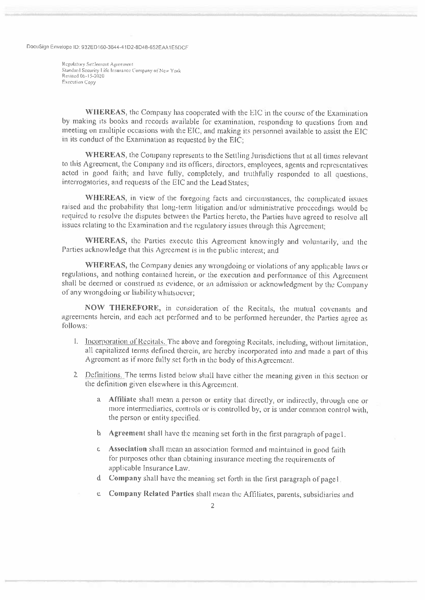Regulatory Settlement Agreement Standard Security Life Insurance Company of New York Revised 06-15-2020 **Execution Copy** 

WHEREAS, the Company has cooperated with the EIC in the course of the Examination by making its books and records available for examination, responding to questions from and meeting on multiple occasions with the EIC, and making its personnel available to assist the EIC in its conduct of the Examination as requested by the EIC:

WHEREAS, the Company represents to the Settling Jurisdictions that at all times relevant to this Agreement, the Company and its officers, directors, employees, agents and representatives acted in good faith; and have fully, completely, and truthfully responded to all questions, interrogatories, and requests of the EIC and the Lead States;

WHEREAS, in view of the foregoing facts and circumstances, the complicated issues raised and the probability that long-term litigation and/or administrative proceedings would be required to resolve the disputes between the Parties hereto, the Parties have agreed to resolve all issues relating to the Examination and the regulatory issues through this Agreement,

WHEREAS, the Parties execute this Agreement knowingly and voluntarily, and the Parties acknowledge that this Agreement is in the public interest; and

WHEREAS, the Company denies any wrongdoing or violations of any applicable laws or regulations, and nothing contained herein, or the execution and performance of this Agreement shall be deemed or construed as evidence, or an admission or acknowledgment by the Company of any wrongdoing or liability whatsoever;

NOW THEREFORE, in consideration of the Recitals, the mutual covenants and agreements herein, and each act performed and to be performed hereunder, the Parties agree as follows:

- 1. Incorporation of Recitals. The above and foregoing Recitals, including, without limitation, all capitalized terms defined therein, are hereby incorporated into and made a part of this Agreement as if more fully set forth in the body of this Agreement.
- 2 Definitions. The terms listed below shall have either the meaning given in this section or the definition given elsewhere in this Agreement.
	- a Affiliate shall mean a person or entity that directly, or indirectly, through one or more intermediaries, controls or is controlled by, or is under common control with, the person or entity specified.
	- b Agreement shall have the meaning set forth in the first paragraph of page1.
	- c Association shall mean an association formed and maintained in good faith for purposes other than obtaining insurance meeting the requirements of applicable Insurance Law.
	- d Company shall have the meaning set forth in the first paragraph of pagel.
	- e Company Related Parties shall mean the Affiliates, parents, subsidiaries and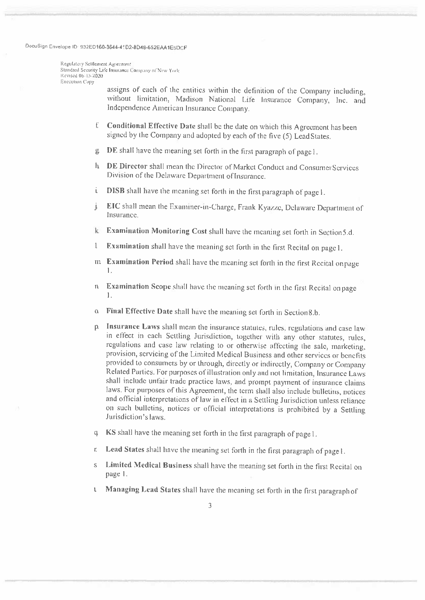Regulatory Settlement Agreement Standard Security Life Insurance Company of New York Revised 06-15-2020 Execution Copy

> assigns of each of the entities within the definition of the Company including, without limitation, Madison National Life Insurance Company, Inc. and Independence American Insurance Company.

- f. Conditional Effective Date shall be the date on which this Agreement has been signed by the Company and adopted by each of the five (5) Lead States.
- g DE shall have the meaning set forth in the first paragraph of page 1.
- h DE Director shall mean the Director of Market Conduct and Consumer Services Division of the Delaware Department of Insurance.
- DISB shall have the meaning set forth in the first paragraph of page 1. i.
- EIC shall mean the Examiner-in-Charge, Frank Kyazze, Delaware Department of j. Insurance.
- k Examination Monitoring Cost shall have the meaning set forth in Section 5.d.
- Examination shall have the meaning set forth in the first Recital on page 1. l
- m Examination Period shall have the meaning set forth in the first Recital onpage  $\mathbf{1}$
- Examination Scope shall have the meaning set forth in the first Recital on page  $n$  $\mathbf{I}$ .
- Final Effective Date shall have the meaning set forth in Section 8.b.  $\alpha$
- Insurance Laws shall mean the insurance statutes, rules, regulations and case law  $\mathbf{p}$ in effect in each Settling Jurisdiction, together with any other statutes, rules, regulations and case law relating to or otherwise affecting the sale, marketing, provision, servicing of the Limited Medical Business and other services or benefits provided to consumers by or through, directly or indirectly, Company or Company Related Parties. For purposes of illustration only and not limitation, Insurance Laws shall include unfair trade practice laws, and prompt payment of insurance claims laws. For purposes of this Agreement, the term shall also include bulletins, notices and official interpretations of law in effect in a Settling Jurisdiction unless reliance on such bulletins, notices or official interpretations is prohibited by a Settling Jurisdiction's laws.
- KS shall have the meaning set forth in the first paragraph of page 1.  $\alpha$
- Lead States shall have the meaning set forth in the first paragraph of page l. ť.
- Limited Medical Business shall have the meaning set forth in the first Recital on Ś page 1.
- Managing Lead States shall have the meaning set forth in the first paragraph of  $\mathbf{1}$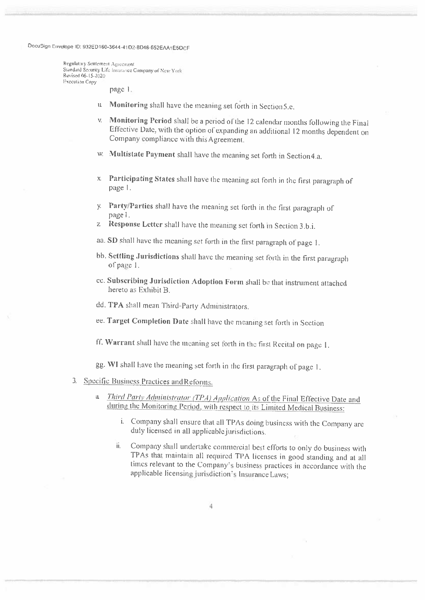Regulatiny Settlement Agreement Standard Security Life Insurance Company of New York Revised 06-15-2020 **Fxecution Copy** 

page 1.

- u Monitoring shall have the meaning set forth in Section 5.e.
- v. Monitoring Period shall be a period of the 12 calendar months following the Final Effective Date, with the option of expanding an additional 12 months dependent on Company compliance with this Agreement.
- w. Multistate Payment shall have the meaning set forth in Section 4.a.
- x Participating States shall have the meaning set forth in the first paragraph of page 1.
- y. Party/Parties shall have the meaning set forth in the first paragraph of page 1.
- z Response Letter shall have the meaning set forth in Section 3.b.i.
- aa. SD shall have the meaning set forth in the first paragraph of page 1.
- bb. Settling Jurisdictions shall have the meaning set forth in the first paragraph of page 1.
- cc. Subscribing Jurisdiction Adoption Form shall be that instrument attached hereto as Exhibit B.
- dd. TPA shall mean Third-Party Administrators.
- ee. Target Completion Date shall have the meaning set forth in Section
- ff. Warrant shall have the meaning set forth in the first Recital on page 1.

gg. WI shall have the meaning set forth in the first paragraph of page 1.

### 3. Specific Business Practices and Reforms.

- a *Third Party Administrator (TPA) Application* As of the Final Effective Date and during the Monitoring Period, with respect to its Limited Medical Business:
	- i. Company shall ensure that all TPAs doing business with the Company are duly licensed in all applicable jurisdictions.
	- Company shall undertake commercial best efforts to only do business with Ü. TPAs that maintain all required TPA licenses in good standing and at all times relevant to the Company's business practices in accordance with the applicable licensing jurisdiction's Insurance Laws;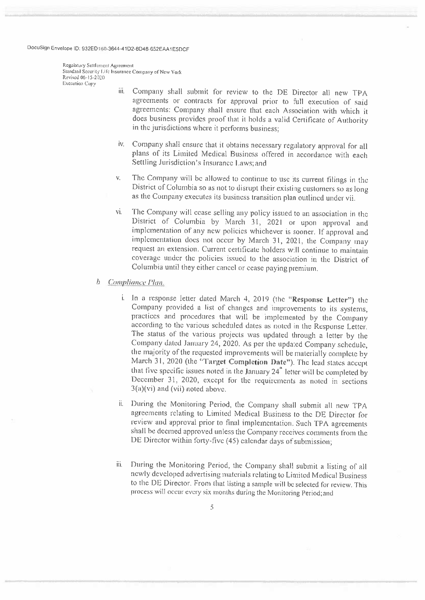Regulatory Settlement Agreement Standard Security Life Insurance Company of New York Revised 06-15-2020 **Execution Conv** 

- Company shall submit for review to the DE Director all new TPA iii. agreements or contracts for approval prior to full execution of said agreements: Company shall ensure that each Association with which it does business provides proof that it holds a valid Certificate of Authority in the jurisdictions where it performs business;
- iv. Company shall ensure that it obtains necessary regulatory approval for all plans of its Limited Medical Business offered in accordance with each Settling Jurisdiction's Insurance Laws; and
- The Company will be allowed to continue to use its current filings in the V. District of Columbia so as not to disrupt their existing customers so as long as the Company executes its business transition plan outlined under vii.
- The Company will cease selling any policy issued to an association in the vi. District of Columbia by March 31, 2021 or upon approval and implementation of any new policies whichever is sooner. If approval and implementation does not occur by March 31, 2021, the Company may request an extension. Current certificate holders will continue to maintain coverage under the policies issued to the association in the District of Columbia until they either cancel or cease paying premium.
- $\mathfrak b$ Compliance Plan.
	- i. In a response letter dated March 4, 2019 (the "Response Letter") the Company provided a list of changes and improvements to its systems, practices and procedures that will be implemented by the Company according to the various scheduled dates as noted in the Response Letter. The status of the various projects was updated through a letter by the Company dated January 24, 2020. As per the updated Company schedule, the majority of the requested improvements will be materially complete by March 31, 2020 (the "Target Completion Date"). The lead states accept that five specific issues noted in the January 24<sup>th</sup> letter will be completed by December 31, 2020, except for the requirements as noted in sections  $3(a)(vi)$  and (vii) noted above.
	- During the Monitoring Period, the Company shall submit all new TPA agreements relating to Limited Medical Business to the DE Director for review and approval prior to final implementation. Such TPA agreements shall be deemed approved unless the Company receives comments from the DE Director within forty-five (45) calendar days of submission;
	- iii. During the Monitoring Period, the Company shall submit a listing of all newly developed advertising materials relating to Limited Medical Business to the DE Director. From that listing a sample will be selected for review. This process will occur every six months during the Monitoring Period; and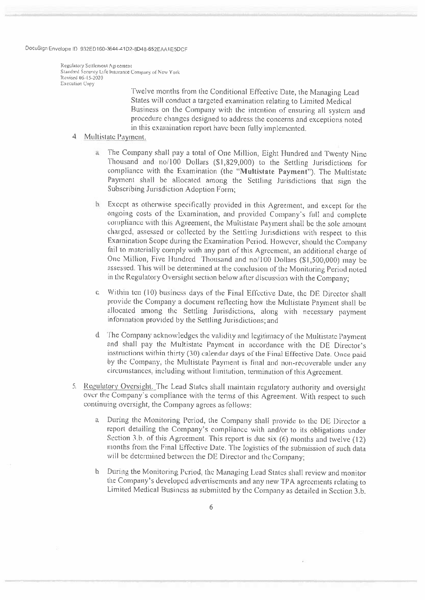Regulatory Settlement Agreement Standard Security Life Insurance Company of New York Revised 06-15-2020 Execution Conv

> Twelve months from the Conditional Effective Date, the Managing Lead States will conduct a targeted examination relating to Limited Medical Business on the Company with the intention of ensuring all system and procedure changes designed to address the concerns and exceptions noted in this examination report have been fully implemented.

- $4<sub>1</sub>$ Multistate Payment.
	- $\rm{a}$ The Company shall pay a total of One Million, Eight Hundred and Twenty Nine Thousand and no/100 Dollars (\$1,829,000) to the Settling Jurisdictions for compliance with the Examination (the "Multistate Payment"). The Multistate Payment shall be allocated among the Settling Jurisdictions that sign the Subscribing Jurisdiction Adoption Form:
	- h Except as otherwise specifically provided in this Agreement, and except for the ongoing costs of the Examination, and provided Company's full and complete compliance with this Agreement, the Multistate Payment shall be the sole amount charged, assessed or collected by the Settling Jurisdictions with respect to this Examination Scope during the Examination Period. However, should the Company fail to materially comply with any part of this Agreement, an additional charge of One Million, Five Hundred Thousand and no/100 Dollars (\$1,500,000) may be assessed. This will be determined at the conclusion of the Monitoring Period noted in the Regulatory Oversight section below after discussion with the Company;
	- c. Within ten (10) business days of the Final Effective Date, the DE Director shall provide the Company a document reflecting how the Multistate Payment shall be allocated among the Settling Jurisdictions, along with necessary payment information provided by the Settling Jurisdictions; and
	- $d_{-}$ The Company acknowledges the validity and legitimacy of the Multistate Payment and shall pay the Multistate Payment in accordance with the DE Director's instructions within thirty (30) calendar days of the Final Effective Date. Once paid by the Company, the Multistate Payment is final and non-recoverable under any circumstances, including without limitation, termination of this Agreement.
- 5. Regulatory Oversight. The Lead States shall maintain regulatory authority and oversight over the Company's compliance with the terms of this Agreement. With respect to such continuing oversight, the Company agrees as follows:
	- During the Monitoring Period, the Company shall provide to the DE Director a report detailing the Company's compliance with and/or to its obligations under Section 3.b, of this Agreement. This report is due six  $(6)$  months and twelve  $(12)$ months from the Final Effective Date. The logistics of the submission of such data will be determined between the DE Director and the Company;
	- b. During the Monitoring Period, the Managing Lead States shall review and monitor the Company's developed advertisements and any new TPA agreements relating to Limited Medical Business as submitted by the Company as detailed in Section 3.b.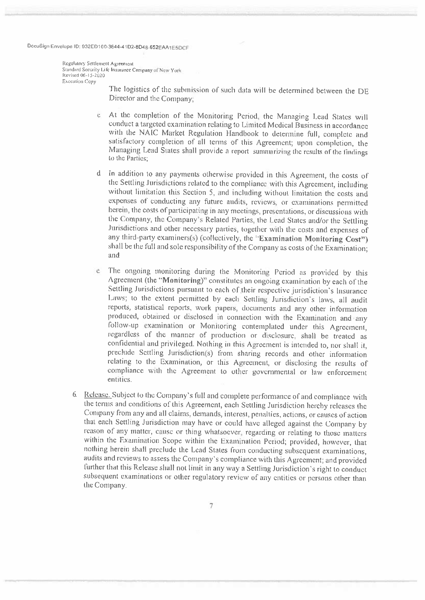Regulatory Settlement Agreement Standard Security Life Insurance Company of New York Revised 06-15-2020 **Execution Copy** 

> The logistics of the submission of such data will be determined between the DE Director and the Company:

- c At the completion of the Monitoring Period, the Managing Lead States will conduct a targeted examination relating to Limited Medical Business in accordance with the NAIC Market Regulation Handbook to determine full, complete and satisfactory completion of all terms of this Agreement; upon completion, the Managing Lead States shall provide a report summarizing the results of the findings to the Parties:
- d In addition to any payments otherwise provided in this Agreement, the costs of the Settling Jurisdictions related to the compliance with this Agreement, including without limitation this Section 5, and including without limitation the costs and expenses of conducting any future audits, reviews, or examinations permitted herein, the costs of participating in any meetings, presentations, or discussions with the Company, the Company's Related Parties, the Lead States and/or the Settling Jurisdictions and other necessary parties, together with the costs and expenses of any third-party examiners(s) (collectively, the "Examination Monitoring Cost") shall be the full and sole responsibility of the Company as costs of the Examination; and
- The ongoing monitoring during the Monitoring Period as provided by this  $\mathcal{C}$ Agreement (the "Monitoring)" constitutes an ongoing examination by each of the Settling Jurisdictions pursuant to each of their respective jurisdiction's Insurance Laws; to the extent permitted by each Settling Jurisdiction's laws, all audit reports, statistical reports, work papers, documents and any other information produced, obtained or disclosed in connection with the Examination and any follow-up examination or Monitoring contemplated under this Agreement, regardless of the manner of production or disclosure, shall be treated as confidential and privileged. Nothing in this Agreement is intended to, nor shall it, preclude Settling Jurisdiction(s) from sharing records and other information relating to the Examination, or this Agreement, or disclosing the results of compliance with the Agreement to other governmental or law enforcement entities.
- 6. Release. Subject to the Company's full and complete performance of and compliance with the terms and conditions of this Agreement, each Settling Jurisdiction hereby releases the Company from any and all claims, demands, interest, penalties, actions, or causes of action that each Settling Jurisdiction may have or could have alleged against the Company by reason of any matter, cause or thing whatsoever, regarding or relating to those matters within the Examination Scope within the Examination Period; provided, however, that nothing herein shall preclude the Lead States from conducting subsequent examinations, audits and reviews to assess the Company's compliance with this Agreement; and provided further that this Release shall not limit in any way a Settling Jurisdiction's right to conduct subsequent examinations or other regulatory review of any entities or persons other than the Company.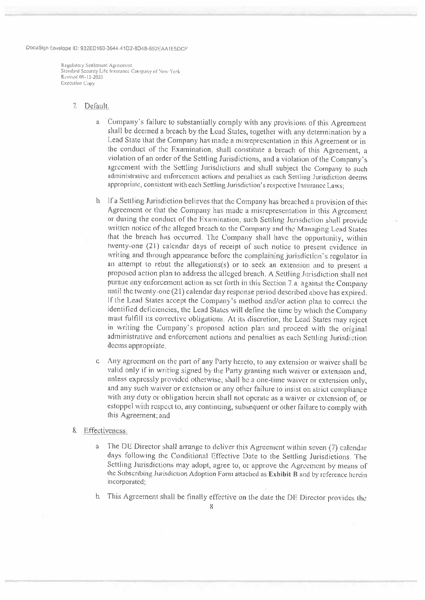Regulatory Settlement Agreement Standard Security Life Insurance Company of New York Revised 06-15-2020 **Execution Copy** 

#### 7. Default.

- a Company's failure to substantially comply with any provisions of this Agreement shall be deemed a breach by the Lead States, together with any determination by a Lead State that the Company has made a misrepresentation in this Agreement or in the conduct of the Examination, shall constitute a breach of this Agreement, a violation of an order of the Settling Jurisdictions, and a violation of the Company's agreement with the Settling Jurisdictions and shall subject the Company to such administrative and enforcement actions and penalties as each Settling Jurisdiction deems appropriate, consistent with each Settling Jurisdiction's respective Insurance Laws:
- b. If a Settling Jurisdiction believes that the Company has breached a provision of this Agreement or that the Company has made a misrepresentation in this Agreement or during the conduct of the Examination, such Settling Jurisdiction shall provide written notice of the alleged breach to the Company and the Managing Lead States that the breach has occurred. The Company shall have the opportunity, within twenty-one (21) calendar days of receipt of such notice to present evidence in writing and through appearance before the complaining jurisdiction's regulator in an attempt to rebut the allegations(s) or to seek an extension and to present a proposed action plan to address the alleged breach. A Settling Jurisdiction shall not pursue any enforcement action as set forth in this Section 7.a. against the Company until the twenty-one (21) calendar day response period described above has expired. If the Lead States accept the Company's method and/or action plan to correct the identified deficiencies, the Lead States will define the time by which the Company must fulfill its corrective obligations. At its discretion, the Lead States may reject in writing the Company's proposed action plan and proceed with the original administrative and enforcement actions and penalties as each Settling Jurisdiction deems appropriate.
- Any agreement on the part of any Party hereto, to any extension or waiver shall be  $\mathbb{C}$ valid only if in writing signed by the Party granting such waiver or extension and, unless expressly provided otherwise, shall be a one-time waiver or extension only, and any such waiver or extension or any other failure to insist on strict compliance with any duty or obligation herein shall not operate as a waiver or extension of, or estoppel with respect to, any continuing, subsequent or other failure to comply with this Agreement; and

#### 8. Effectiveness.

- The DE Director shall arrange to deliver this Agreement within seven (7) calendar  $\mathbf{a}$ days following the Conditional Effective Date to the Settling Jurisdictions. The Settling Jurisdictions may adopt, agree to, or approve the Agreement by means of the Subscribing Jurisdiction Adoption Form attached as Exhibit B and by reference herein incorporated;
- $b$ . This Agreement shall be finally effective on the date the DE Director provides the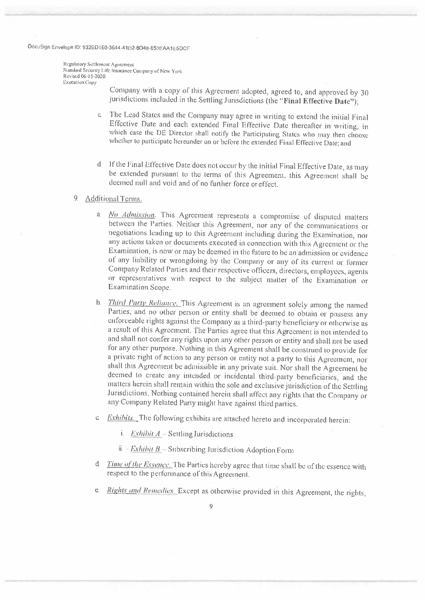Regulatory Settlement Agreement Standard Security Life Insurance Company of New York Revised 06-15-2020 Execution Copy

> Company with a copy of this Agreement adopted, agreed to, and approved by 30 jurisdictions included in the Settling Jurisdictions (the "Final Effective Date");

- c. The Lead States and the Company may agree in writing to extend the initial Final Effective Date and each extended Final Effective Date thereafter in writing, in which case the DE Director shall notify the Participating States who may then choose whether to participate hereunder on or before the extended Final Effective Date; and
- d If the Final Effective Date does not occur by the initial Final Effective Date, as may be extended pursuant to the terms of this Agreement, this Agreement shall be deemed null and void and of no further force or effect.

### 9. Additional Terms.

- a *No Admission*. This Agreement represents a compromise of disputed matters between the Parties. Neither this Agreement, nor any of the communications or negotiations leading up to this Agreement including during the Examination, nor any actions taken or documents executed in connection with this Agreement or the Examination, is now or may be deemed in the future to be an admission or evidence of any liability or wrongdoing by the Company or any of its current or former Company Related Parties and their respective officers, directors, employees, agents or representatives with respect to the subject matter of the Examination or Examination Scope.
- Third Party Reliance. This Agreement is an agreement solely among the named h. Parties, and no other person or entity shall be deemed to obtain or possess any enforceable rights against the Company as a third-party beneficiary or otherwise as a result of this Agreement. The Parties agree that this Agreement is not intended to and shall not confer any rights upon any other person or entity and shall not be used for any other purpose. Nothing in this Agreement shall be construed to provide for a private right of action to any person or entity not a party to this Agreement, nor shall this Agreement be admissible in any private suit. Nor shall the Agreement be deemed to create any intended or incidental third-party beneficiaries, and the matters herein shall remain within the sole and exclusive jurisdiction of the Settling Jurisdictions. Nothing contained herein shall affect any rights that the Company or any Company Related Party might have against third parties.
- *Exhibits*. The following exhibits are attached hereto and incorporated herein:  $\alpha$ 
	- i. *Exhibit A* Settling Jurisdictions
	- ii.  $\cdot$  *Exhibit B* Subscribing Jurisdiction Adoption Form
- d Time of the Essence. The Parties hereby agree that time shall be of the essence with respect to the performance of this Agreement.
- e Rights and Remedies. Except as otherwise provided in this Agreement, the rights,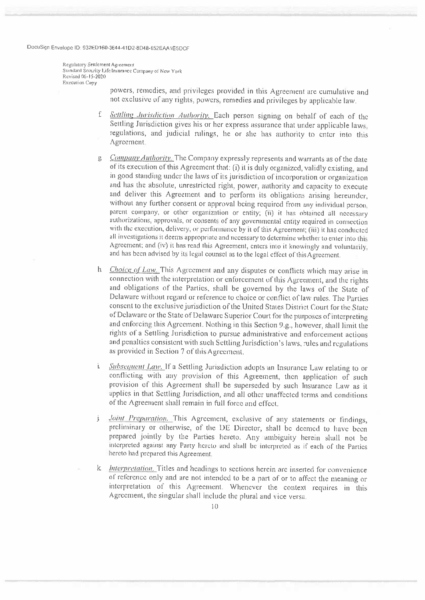Regulatory Settlement Agreement Standard Security Life Insurance Company of New York Revised 06-15-2020 Execution Copy

> powers, remedies, and privileges provided in this Agreement are cumulative and not exclusive of any rights, powers, remedies and privileges by applicable law.

- f Settling Jurisdiction Authority. Each person signing on behalf of each of the Settling Jurisdiction gives his or her express assurance that under applicable laws. regulations, and judicial rulings, he or she has authority to enter into this Agreement.
- g *Company Authority*. The Company expressly represents and warrants as of the date of its execution of this Agreement that: (i) it is duly organized, validly existing, and in good standing under the laws of its jurisdiction of incorporation or organization and has the absolute, unrestricted right, power, authority and capacity to execute and deliver this Agreement and to perform its obligations arising hereunder, without any further consent or approval being required from any individual person, parent company, or other organization or entity; (ii) it has obtained all necessary authorizations, approvals, or consents of any governmental entity required in connection with the execution, delivery, or performance by it of this Agreement; (iii) it has conducted all investigations it deems appropriate and necessary to determine whether to enter into this Agreement; and (iv) it has read this Agreement, enters into it knowingly and voluntarily, and has been advised by its legal counsel as to the legal effect of this Agreement.
- h *Choice of Law*. This Agreement and any disputes or conflicts which may arise in connection with the interpretation or enforcement of this Agreement, and the rights and obligations of the Parties, shall be governed by the laws of the State of Delaware without regard or reference to choice or conflict of law rules. The Parties consent to the exclusive jurisdiction of the United States District Court for the State of Delaware or the State of Delaware Superior Court for the purposes of interpreting and enforcing this Agreement. Nothing in this Section 9.g., however, shall limit the rights of a Settling Jurisdiction to pursue administrative and enforcement actions and penalties consistent with such Settling Jurisdiction's laws, rules and regulations as provided in Section 7 of this Agreement.
- i. Subsequent Law. If a Settling Jurisdiction adopts an Insurance Law relating to or conflicting with any provision of this Agreement, then application of such provision of this Agreement shall be superseded by such Insurance Law as it applies in that Settling Jurisdiction, and all other unaffected terms and conditions of the Agreement shall remain in full force and effect.
- Joint Preparation. This Agreement, exclusive of any statements or findings,  $\mathbf{i}$ preliminary or otherwise, of the DE Director, shall be deemed to have been prepared jointly by the Parties hereto. Any ambiguity herein shall not be interpreted against any Party hereto and shall be interpreted as if each of the Parties hereto had prepared this Agreement.
- k *Interpretation*. Titles and headings to sections herein are inserted for convenience of reference only and are not intended to be a part of or to affect the meaning or interpretation of this Agreement. Whenever the context requires in this Agreement, the singular shall include the plural and vice versa.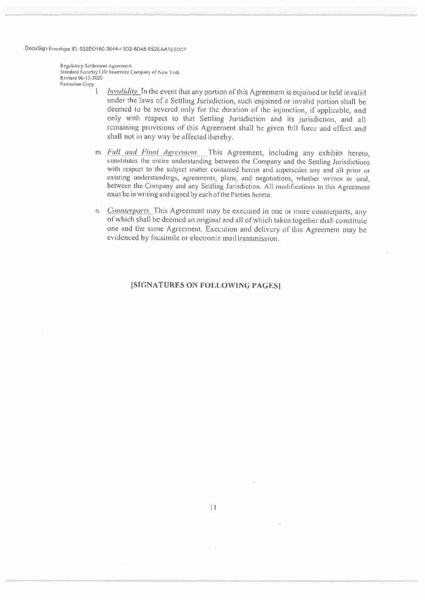Regulatory Settlement Agreement Standard Security Life Insurance Company of New York Revised 06-15-2020 **Execution Copy** 

- *Invalidity*. In the event that any portion of this Agreement is enjoined or held invalid under the laws of a Settling Jurisdiction, such enjoined or invalid portion shall be deemed to be severed only for the duration of the injunction, if applicable, and only with respect to that Settling Jurisdiction and its jurisdiction, and all remaining provisions of this Agreement shall be given full force and effect and shall not in any way be affected thereby.
- m Full and Final Agreement. This Agreement, including any exhibits hereto. constitutes the entire understanding between the Company and the Settling Jurisdictions with respect to the subject matter contained herein and supersedes any and all prior or existing understandings, agreements, plans, and negotiations, whether written or oral. between the Company and any Settling Jurisdiction. All modifications to this Agreement must be in writing and signed by each of the Parties hereto.
- n *Counterparts*. This Agreement may be executed in one or more counterparts, any of which shall be deemed an original and all of which taken together shall constitute one and the same Agreement. Execution and delivery of this Agreement may be evidenced by facsimile or electronic mail transmission.

### **ISIGNATURES ON FOLLOWING PAGES]**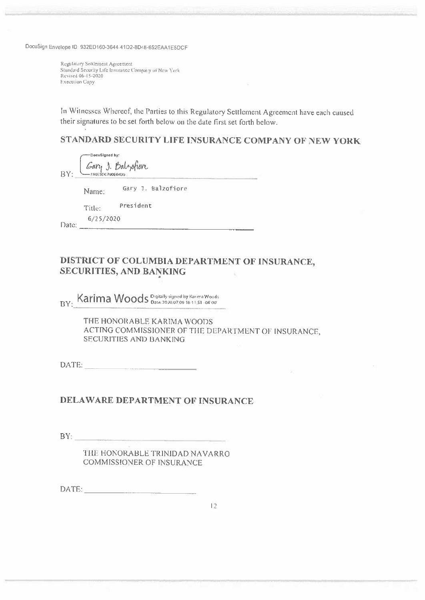Regulatory Settlement Agreement Standard Security Life Insurance Company of New York Revised 06-15-2020 **Execution Copy** 

In Witnesses Whereof, the Parties to this Regulatory Settlement Agreement have each caused their signatures to be set forth below on the date first set forth below.

# STANDARD SECURITY LIFE INSURANCE COMPANY OF NEW YORK

|     | ∦ocuSigned by:   |                    |
|-----|------------------|--------------------|
| BY: | -7A953DC790E04U5 | Gary J. Balzofiore |
|     |                  |                    |

Gary J. Balzofiore Name:

Title: President

 $6/25/2020$ Date:

#### DISTRICT OF COLUMBIA DEPARTMENT OF INSURANCE. SECURITIES, AND BANKING ÷,

BY: Karima Woods Digitally signed by Karima Woods.

THE HONORABLE KARIMA WOODS ACTING COMMISSIONER OF THE DEPARTMENT OF INSURANCE, SECURITIES AND BANKING

# DELAWARE DEPARTMENT OF INSURANCE

 $BY_1$ 

THE HONORABLE TRINIDAD NAVARRO COMMISSIONER OF INSURANCE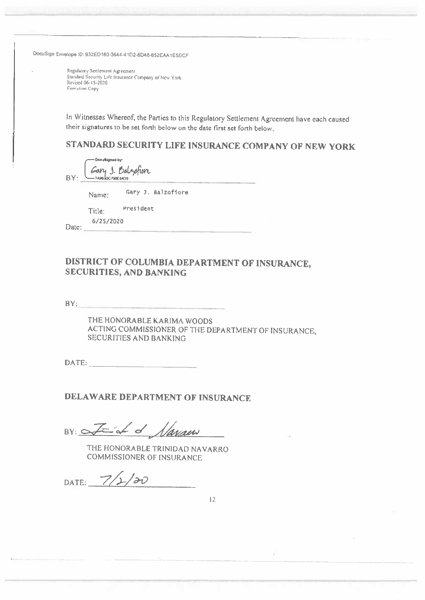Regulatory Settlement Agreement Standard Security Life Insurance Company of New York Revised 06-15-2020 **Execution Copy** 

In Witnesses Whereof, the Parties to this Regulatory Settlement Agreement have each caused their signatures to be set forth below on the date first set forth below.

STANDARD SECURITY LIFE INSURANCE COMPANY OF NEW YORK

Docutigned by: Gary J. Balzofior BY:  $-$  7A9830C790E54(15

Gary J. Balzofiore Name:

President Title:

6/25/2020 Date:

# DISTRICT OF COLUMBIA DEPARTMENT OF INSURANCE, **SECURITIES, AND BANKING**

 $BY:$ 

THE HONORABLE KARIMA WOODS ACTING COMMISSIONER OF THE DEPARTMENT OF INSURANCE, SECURITIES AND BANKING

DATE:

DELAWARE DEPARTMENT OF INSURANCE

BY: Fish of flanger

THE HONORABLE TRINIDAD NAVARRO **COMMISSIONER OF INSURANCE** 

DATE:  $7/2/20$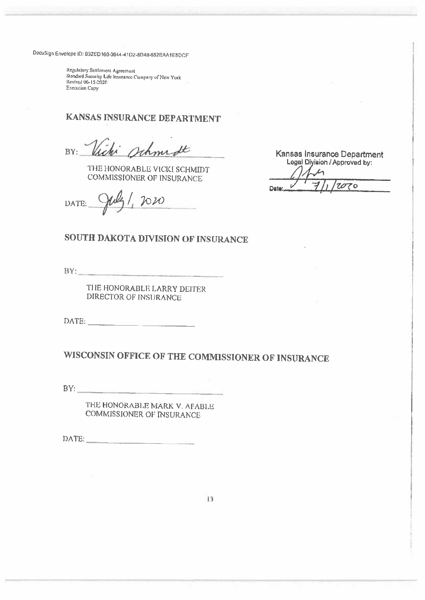Regulatory Settlement Agreement Standard Security Life Insurated Company of New York<br>Standard Security Life Insurated Company of New York **Execution Copy** 

# KANSAS INSURANCE DEPARTMENT

Johnn St BY:

THE HONORABLE VICKI SCHMIDT **COMMISSIONER OF INSURANCE** 

2020 DATE:

Kansas Insurance Department<br>Legal Diyision / Approved by: 'tozo  $\epsilon$ Date:

# SOUTH DAKOTA DIVISION OF INSURANCE

BY: The contract of the contract of the contract of the contract of the contract of the contract of the contract of the contract of the contract of the contract of the contract of the contract of the contract of the contra

THE HONORABLE LARRY DEITER DIRECTOR OF INSURANCE

# WISCONSIN OFFICE OF THE COMMISSIONER OF INSURANCE

 $BY:$ 

THE HONORABLE MARK V. AFABLE COMMISSIONER OF INSURANCE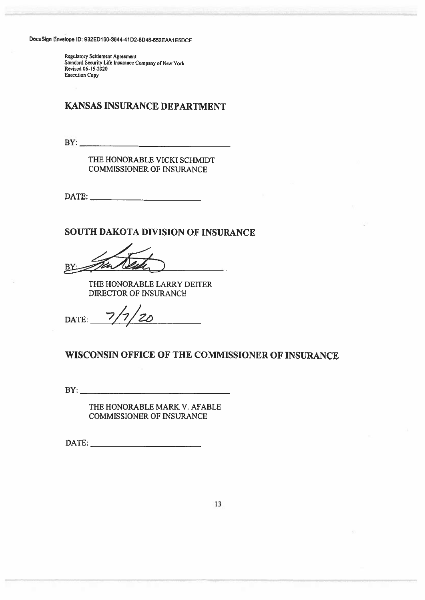Regulatory Setriemeat Agreement Standard Security Life Insurance Company of New York<br>Revised 06-15-2020 Execution Copy lope ID: 932ED160-3644-41D2-8D48-652EAA1E<br>Regulatory Settlement Agreement<br>Standard Security Life Insurance Company of New Y<br>Revised 06-15-2020<br>Execution Copy<br>KANSAS INSURANCE DEI<br>BY: Ope ID: 932ED160-3644-41D2-8D48-652EAA1E5DCF<br>Regulatory Settlement Agreement<br>Standard Security Life Insurance Company of New York<br>Revised 06-15-2020<br>DExecution Copy<br>NATSAS INSURANCE DEPARTI<br>THE HONORABLE VICKI SCHM<br>COMMISS

# KANSAS INSURANCE DEPARTMENT

THE HONORABLE VICKI SCHMIDT COMMISSIONER OF INSURANCE

SOUTH DAKOTA DIVISION OF INSURANCE

Specialory Settential Agreement<br>
Bythesizo Stephen Agreement<br>
Bundard Sesurity Life Insurance Company of New York<br>
Heritad 06-15-3020<br>
BANSAS INSURANCE DEPARTMENT<br>
FORMISSIONER OF INSURANCE<br>
DATE:<br>
BY:<br>
THE HONORABLE LARRY OP ID: 932ED180-3844-41D2-8D48-852EAA1E5DCF<br>
Regulatory Settlement (Agreement<br>
Revised O6-15-2020<br>
Securition Copy<br>
ENCREANCE DEPARTI<br>
ENCREANCE DEPARTI<br>
COMMISSIONER OF INSURANCE<br>
DATE:<br>
THE HONORABLE LARRY DEIT<br>
DATE:<br>
D

THE HONORABLE LARRY DEITER DIRECTOR OF INSURANCE

DATE:  $7/7/20$ 

### WISCONSIN OFFICE OF THE COMMISSIONER OF INSURANCE

THE HONORABLE MARK V. AFABLE COMMISSIONER OF INSURANCE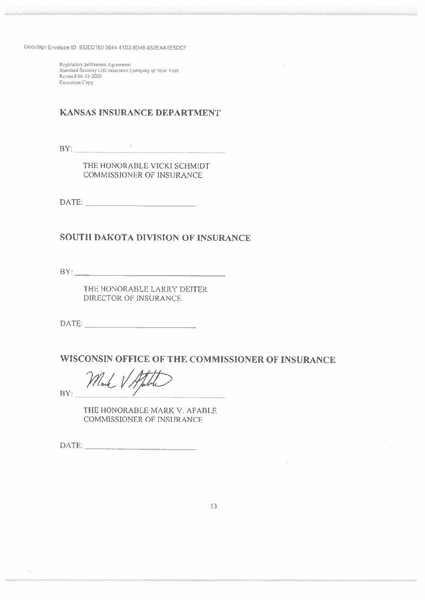Regulatory Settlement Agreement Standard Security Life Insurance Company of New York Revised 06-15-2020 **Execution Copy** 

## KANSAS INSURANCE DEPARTMENT

 $BY:$ 

THE HONORABLE VICKI SCHMIDT COMMISSIONER OF INSURANCE

### **SOUTH DAKOTA DIVISION OF INSURANCE**

BY:

 $\bar{N}$ 

THE HONORABLE LARRY DEITER DIRECTOR OF INSURANCE

### WISCONSIN OFFICE OF THE COMMISSIONER OF INSURANCE

Mark

THE HONORABLE MARK V. AFABLE **COMMISSIONER OF INSURANCE**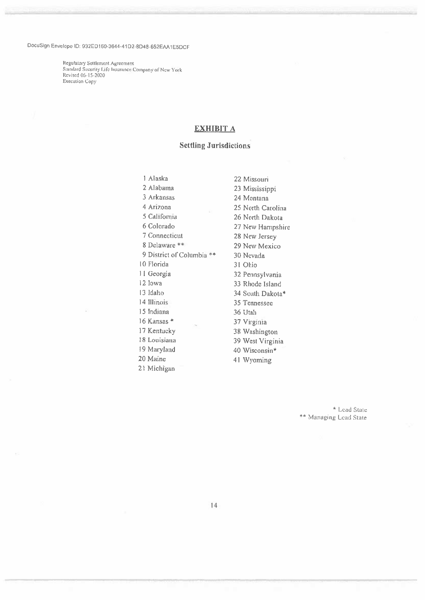kegulatoiy Settlement Agreement Standard Security Life Insurance Company of New York Revised 06-15-2020 Execution Copy

### EXHIBIT A

### Settling Jurisdictions

I Alaska 22 Missouri 2 Alabama 23 Mississippi<br>3 Arkansas 24 Montana 4 Arizona 25 North Carolina 5 California 26 North Dakota 6 Colorado 27 New Hampshire <sup>7</sup> Connecticut <sup>28</sup> New Jersey 8 Delaware \*\* 29 New Mexico 9 District of Columbia \*\* 30 Nevada 10 Florida 31 Ohio <sup>11</sup> Georgia <sup>32</sup> Pennsylvania 12 Iowa 33 Rhode Island 13 Idaho 34 South Dakota\* 14 Illinois 35 Tennessee 15 Thdiana 36 Utah 16 Kansas \* 37 Virginia <sup>17</sup> Kentucky <sup>38</sup> Washngton IS Louisiana <sup>39</sup> West Virginia 19 Maryland 40 Wisconsin\* <sup>20</sup> Maine <sup>41</sup> Wyoming 21 Michigan

24 Montana

\* Lead Slate \*\* Managing Lead State